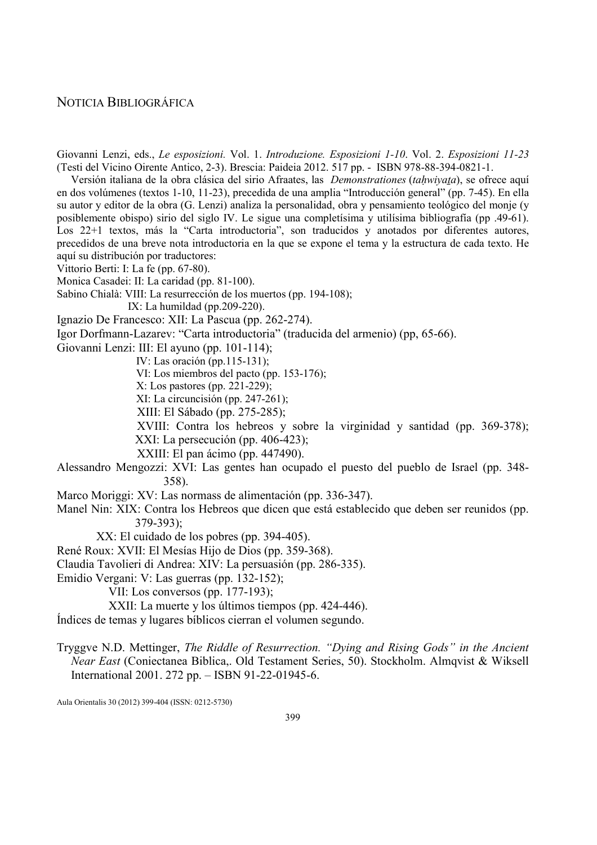## NOTICIA BIBLIOGRÁFICA

Giovanni Lenzi, eds., Le esposizioni. Vol. 1. Introduzione. Esposizioni 1-10. Vol. 2. Esposizioni 11-23 (Testi del Vicino Oirente Antico, 2-3). Brescia: Paideia 2012. 517 pp. - ISBN 978-88-394-0821-1.

Versión italiana de la obra clásica del sirio Afraates, las *Demonstrationes (tahwiyata)*, se ofrece aquí en dos volúmenes (textos 1-10, 11-23), precedida de una amplia "Introducción general" (pp. 7-45). En ella su autor y editor de la obra (G. Lenzi) analiza la personalidad, obra y pensamiento teológico del monje (y posiblemente obispo) sirio del siglo IV. Le sigue una completísima y utilísima bibliografía (pp .49-61). Los 22+1 textos, más la "Carta introductoria", son traducidos y anotados por diferentes autores, precedidos de una breve nota introductoria en la que se expone el tema y la estructura de cada texto. He aquí su distribución por traductores:

Vittorio Berti: I: La fe (pp. 67-80).

Monica Casadei: II: La caridad (pp. 81-100).

Sabino Chialà: VIII: La resurrección de los muertos (pp. 194-108);

IX: La humildad (pp.209-220).

Ignazio De Francesco: XII: La Pascua (pp. 262-274).

Igor Dorfmann-Lazarev: "Carta introductoria" (traducida del armenio) (pp, 65-66).

Giovanni Lenzi: III: El ayuno (pp. 101-114);

IV: Las oración (pp.115-131);

VI: Los miembros del pacto (pp. 153-176);

X: Los pastores (pp. 221-229);

XI: La circuncisión (pp. 247-261);

XIII: El Sábado (pp. 275-285);

 XVIII: Contra los hebreos y sobre la virginidad y santidad (pp. 369-378); XXI: La persecución (pp. 406-423);

XXIII: El pan ácimo (pp. 447490).

- Alessandro Mengozzi: XVI: Las gentes han ocupado el puesto del pueblo de Israel (pp. 348- 358).
- Marco Moriggi: XV: Las normass de alimentación (pp. 336-347).
- Manel Nin: XIX: Contra los Hebreos que dicen que está establecido que deben ser reunidos (pp. 379-393);
	- XX: El cuidado de los pobres (pp. 394-405).

René Roux: XVII: El Mesías Hijo de Dios (pp. 359-368).

Claudia Tavolieri di Andrea: XIV: La persuasión (pp. 286-335).

Emidio Vergani: V: Las guerras (pp. 132-152);

VII: Los conversos (pp. 177-193);

XXII: La muerte y los últimos tiempos (pp. 424-446).

Índices de temas y lugares bíblicos cierran el volumen segundo.

Tryggve N.D. Mettinger, The Riddle of Resurrection. "Dying and Rising Gods" in the Ancient Near East (Coniectanea Biblica,. Old Testament Series, 50). Stockholm. Almqvist & Wiksell International 2001. 272 pp. – ISBN 91-22-01945-6.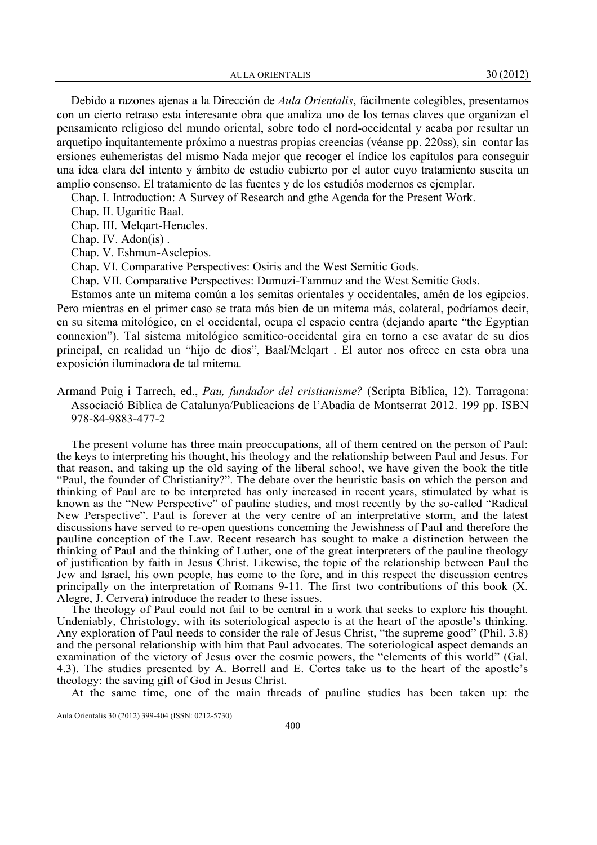AULA ORIENTALIS 30 (2012)

Debido a razones ajenas a la Dirección de Aula Orientalis, fácilmente colegibles, presentamos con un cierto retraso esta interesante obra que analiza uno de los temas claves que organizan el pensamiento religioso del mundo oriental, sobre todo el nord-occidental y acaba por resultar un arquetipo inquitantemente próximo a nuestras propias creencias (véanse pp. 220ss), sin contar las ersiones euhemeristas del mismo Nada mejor que recoger el índice los capítulos para conseguir una idea clara del intento y ámbito de estudio cubierto por el autor cuyo tratamiento suscita un amplio consenso. El tratamiento de las fuentes y de los estudiós modernos es ejemplar.

Chap. I. Introduction: A Survey of Research and gthe Agenda for the Present Work.

Chap. II. Ugaritic Baal.

Chap. III. Melqart-Heracles.

Chap. IV. Adon(is) .

Chap. V. Eshmun-Asclepios.

Chap. VI. Comparative Perspectives: Osiris and the West Semitic Gods.

Chap. VII. Comparative Perspectives: Dumuzi-Tammuz and the West Semitic Gods.

Estamos ante un mitema común a los semitas orientales y occidentales, amén de los egipcios. Pero mientras en el primer caso se trata más bien de un mitema más, colateral, podríamos decir, en su sitema mitológico, en el occidental, ocupa el espacio centra (dejando aparte "the Egyptian connexion"). Tal sistema mitológico semítico-occidental gira en torno a ese avatar de su dios principal, en realidad un "hijo de dios", Baal/Melqart . El autor nos ofrece en esta obra una exposición iluminadora de tal mitema.

Armand Puig i Tarrech, ed., Pau, fundador del cristianisme? (Scripta Biblica, 12). Tarragona: Associació Biblica de Catalunya/Publicacions de l'Abadia de Montserrat 2012. 199 pp. ISBN 978-84-9883-477-2

The present volume has three main preoccupations, all of them centred on the person of Paul: the keys to interpreting his thought, his theology and the relationship between Paul and Jesus. For that reason, and taking up the old saying of the liberal schoo!, we have given the book the title "Paul, the founder of Christianity?". The debate over the heuristic basis on which the person and thinking of Paul are to be interpreted has only increased in recent years, stimulated by what is known as the "New Perspective" of pauline studies, and most recently by the so-called "Radical New Perspective". Paul is forever at the very centre of an interpretative storm, and the latest discussions have served to re-open questions conceming the Jewishness of Paul and therefore the pauline conception of the Law. Recent research has sought to make a distinction between the thinking of Paul and the thinking of Luther, one of the great interpreters of the pauline theology of justification by faith in Jesus Christ. Likewise, the topie of the relationship between Paul the Jew and Israel, his own people, has come to the fore, and in this respect the discussion centres principally on the interpretation of Romans 9-11. The first two contributions of this book (X. Alegre, J. Cervera) introduce the reader to these issues.

The theology of Paul could not fail to be central in a work that seeks to explore his thought. Undeniably, Christology, with its soteriological aspecto is at the heart of the apostle's thinking. Any exploration of Paul needs to consider the rale of Jesus Christ, "the supreme good" (Phil. 3.8) and the personal relationship with him that Paul advocates. The soteriological aspect demands an examination of the vietory of Jesus over the cosmic powers, the "elements of this world" (Gal. 4.3). The studies presented by A. Borrell and E. Cortes take us to the heart of the apostle's theology: the saving gift of God in Jesus Christ.

At the same time, one of the main threads of pauline studies has been taken up: the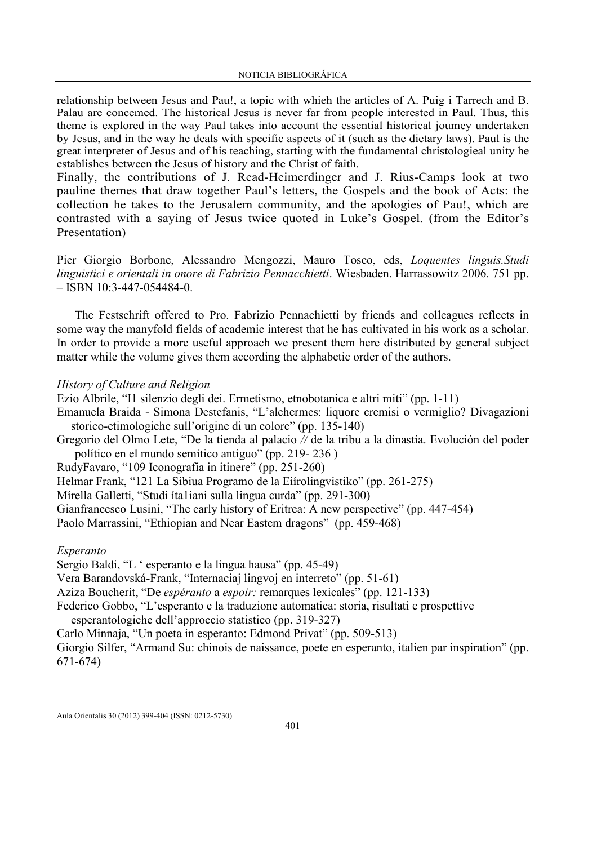relationship between Jesus and Pau!, a topic with whieh the articles of A. Puig i Tarrech and B. Palau are concemed. The historical Jesus is never far from people interested in Paul. Thus, this theme is explored in the way Paul takes into account the essential historical joumey undertaken by Jesus, and in the way he deals with specific aspects of it (such as the dietary laws). Paul is the great interpreter of Jesus and of his teaching, starting with the fundamental christologieal unity he establishes between the Jesus of history and the Christ of faith.

Finally, the contributions of J. Read-Heimerdinger and J. Rius-Camps look at two pauline themes that draw together Paul's letters, the Gospels and the book of Acts: the collection he takes to the Jerusalem community, and the apologies of Pau!, which are contrasted with a saying of Jesus twice quoted in Luke's Gospel. (from the Editor's Presentation)

Pier Giorgio Borbone, Alessandro Mengozzi, Mauro Tosco, eds, Loquentes linguis.Studi linguistici e orientali in onore di Fabrizio Pennacchietti. Wiesbaden. Harrassowitz 2006. 751 pp.  $-$  ISBN 10:3-447-054484-0.

The Festschrift offered to Pro. Fabrizio Pennachietti by friends and colleagues reflects in some way the manyfold fields of academic interest that he has cultivated in his work as a scholar. In order to provide a more useful approach we present them here distributed by general subject matter while the volume gives them according the alphabetic order of the authors.

### History of Culture and Religion

Ezio Albrile, "I1 silenzio degli dei. Ermetismo, etnobotanica e altri miti" (pp. 1-11)

Emanuela Braida - Simona Destefanis, "L'alchermes: liquore cremisi o vermiglio? Divagazioni storico-etimologiche sull'origine di un colore" (pp. 135-140)

Gregorio del Olmo Lete, "De la tienda al palacio // de la tribu a la dinastía. Evolución del poder político en el mundo semítico antiguo" (pp. 219- 236 )

RudyFavaro, "109 Iconografía in itinere" (pp. 251-260)

Helmar Frank, "121 La Sibiua Programo de la Eiírolingvistiko" (pp. 261-275)

Mírella Galletti, "Studi íta1iani sulla lingua curda" (pp. 291-300)

Gianfrancesco Lusini, "The early history of Eritrea: A new perspective" (pp. 447-454)

Paolo Marrassini, "Ethiopian and Near Eastem dragons" (pp. 459-468)

#### Esperanto

Sergio Baldi, "L ' esperanto e la lingua hausa" (pp. 45-49)

Vera Barandovská-Frank, "Internaciaj lingvoj en interreto" (pp. 51-61)

Aziza Boucherit, "De espéranto a espoir: remarques lexicales" (pp. 121-133)

Federico Gobbo, "L'esperanto e la traduzione automatica: storia, risultati e prospettive

esperantologiche dell'approccio statistico (pp. 319-327)

Carlo Minnaja, "Un poeta in esperanto: Edmond Privat" (pp. 509-513)

Giorgio Silfer, "Armand Su: chinois de naissance, poete en esperanto, italien par inspiration" (pp. 671-674)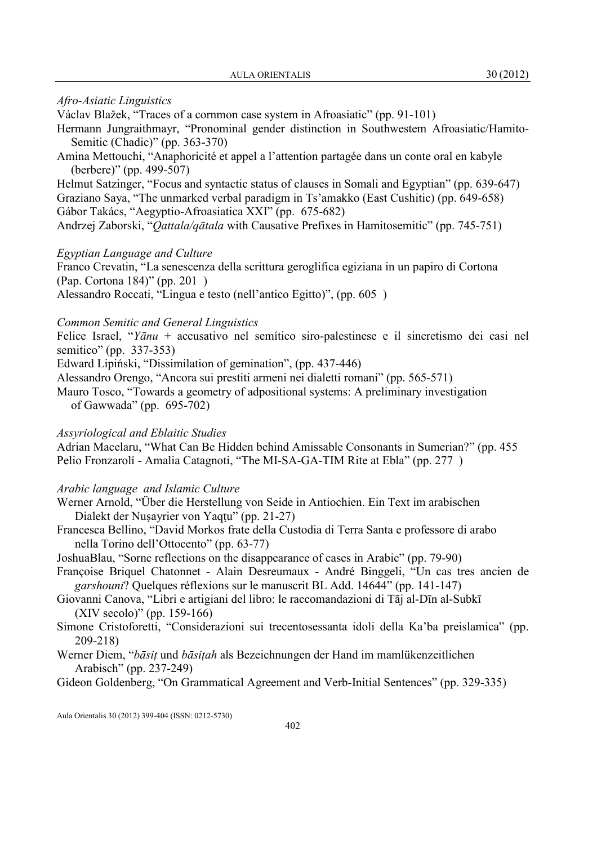#### Afro-Asiatic Linguistics

Václav Blažek, "Traces of a cornmon case system in Afroasiatic" (pp. 91-101)

- Hermann Jungraithmayr, "Pronominal gender distinction in Southwestem Afroasiatic/Hamito-Semitic (Chadic)" (pp. 363-370)
- Amina Mettouchi, "Anaphoricité et appel a l'attention partagée dans un conte oral en kabyle (berbere)" (pp. 499-507)

Helmut Satzinger, "Focus and syntactic status of clauses in Somali and Egyptian" (pp. 639-647) Graziano Saya, "The unmarked verbal paradigm in Ts'amakko (East Cushitic) (pp. 649-658) Gábor Takács, "Aegyptio-Afroasiatica XXI" (pp. 675-682)

Andrzej Zaborski, "Qattala/qātala with Causative Prefixes in Hamitosemitic" (pp. 745-751)

### Egyptian Language and Culture

Franco Crevatin, "La senescenza della scrittura geroglifica egiziana in un papiro di Cortona (Pap. Cortona 184)" (pp. 201 )

Alessandro Roccati, "Lingua e testo (nell'antico Egitto)", (pp. 605 )

## Common Semitic and General Linguistics

Felice Israel, "Yānu + accusativo nel semítico siro-palestinese e il sincretismo dei casi nel semitico" (pp. 337-353)

Edward Lipiński, "Dissimilation of gemination", (pp. 437-446)

Alessandro Orengo, "Ancora sui prestiti armeni nei dialetti romani" (pp. 565-571)

Mauro Tosco, "Towards a geometry of adpositional systems: A preliminary investigation of Gawwada" (pp. 695-702)

### Assyriological and Eblaitic Studies

Adrian Macelaru, "What Can Be Hidden behind Amissable Consonants in Sumerian?" (pp. 455 Pelio Fronzarolí - Amalia Catagnoti, "The MI-SA-GA-TIM Rite at Ebla" (pp. 277 )

### Arabic language and Islamic Culture

- Werner Arnold, "Über die Herstellung von Seide in Antiochien. Ein Text im arabischen Dialekt der Nuṣayrier von Yaqṭu" (pp. 21-27)
- Francesca Bellino, "David Morkos frate della Custodia di Terra Santa e professore di arabo nella Torino dell'Ottocento" (pp. 63-77)
- JoshuaBlau, "Sorne reflections on the disappearance of cases in Arabic" (pp. 79-90)
- Françoise Briquel Chatonnet Alain Desreumaux André Binggeli, "Un cas tres ancien de garshouni? Quelques réflexions sur le manuscrit BL Add. 14644" (pp. 141-147)
- Giovanni Canova, "Libri e artigiani del libro: le raccomandazioni di Tāj al-Dīn al-Subkī (XIV secolo)" (pp. 159-166)
- Simone Cristoforetti, "Considerazioni sui trecentosessanta idoli della Ka'ba preislamica" (pp. 209-218)
- Werner Diem, "*bāsit* und *bāsitah* als Bezeichnungen der Hand im mamlükenzeitlichen Arabisch" (pp. 237-249)

Gideon Goldenberg, "On Grammatical Agreement and Verb-Initial Sentences" (pp. 329-335)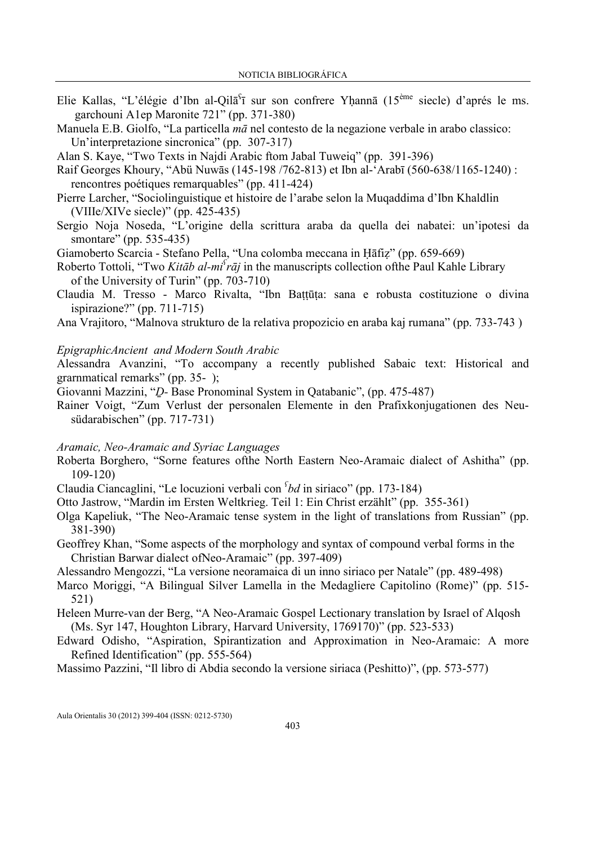- Elie Kallas, "L'élégie d'Ibn al-Qilā<sup>s</sup>ī sur son confrere Yḥannā (15<sup>ème</sup> siecle) d'aprés le ms. garchouni A1ep Maronite 721" (pp. 371-380)
- Manuela E.B. Giolfo, "La particella mā nel contesto de la negazione verbale in arabo classico: Un'interpretazione sincronica" (pp. 307-317)

Alan S. Kaye, "Two Texts in Najdi Arabic ftom Jabal Tuweiq" (pp. 391-396)

Raif Georges Khoury, "Abü Nuwās (145-198 /762-813) et Ibn al-'Arabī (560-638/1165-1240) : rencontres poétiques remarquables" (pp. 411-424)

- Pierre Larcher, "Sociolinguistique et histoire de l'arabe selon la Muqaddima d'Ibn Khaldlin (VIIIe/XIVe siecle)" (pp. 425-435)
- Sergio Noja Noseda, "L'origine della scrittura araba da quella dei nabatei: un'ipotesi da smontare" (pp. 535-435)

Giamoberto Scarcia - Stefano Pella, "Una colomba meccana in Ḥāfiẓ" (pp. 659-669)

Roberto Tottoli, "Two Kitab al-mi  $raj$  in the manuscripts collection of the Paul Kahle Library of the University of Turin" (pp. 703-710)

Claudia M. Tresso - Marco Rivalta, "Ibn Baṭṭūṭa: sana e robusta costituzione o divina ispirazione?" (pp. 711-715)

Ana Vrajitoro, "Malnova strukturo de la relativa propozicio en araba kaj rumana" (pp. 733-743 )

### EpigraphicAncient and Modern South Arabic

Alessandra Avanzini, "To accompany a recently published Sabaic text: Historical and grarnmatical remarks" (pp. 35- );

Giovanni Mazzini, "Ḏ- Base Pronominal System in Qatabanic", (pp. 475-487)

Rainer Voigt, "Zum Verlust der personalen Elemente in den Prafixkonjugationen des Neusüdarabischen" (pp. 717-731)

### Aramaic, Neo-Aramaic and Syriac Languages

- Roberta Borghero, "Sorne features ofthe North Eastern Neo-Aramaic dialect of Ashitha" (pp. 109-120)
- Claudia Ciancaglini, "Le locuzioni verbali con  $<sup>c</sup>bd$  in siriaco" (pp. 173-184)</sup>
- Otto Jastrow, "Mardin im Ersten Weltkrieg. Teil 1: Ein Christ erzählt" (pp. 355-361)
- Olga Kapeliuk, "The Neo-Aramaic tense system in the light of translations from Russian" (pp. 381-390)
- Geoffrey Khan, "Some aspects of the morphology and syntax of compound verbal forms in the Christian Barwar dialect ofNeo-Aramaic" (pp. 397-409)

Alessandro Mengozzi, "La versione neoramaica di un inno siriaco per Natale" (pp. 489-498)

- Marco Moriggi, "A Bilingual Silver Lamella in the Medagliere Capitolino (Rome)" (pp. 515- 521)
- Heleen Murre-van der Berg, "A Neo-Aramaic Gospel Lectionary translation by Israel of Alqosh (Ms. Syr 147, Houghton Library, Harvard University, 1769170)" (pp. 523-533)
- Edward Odisho, "Aspiration, Spirantization and Approximation in Neo-Aramaic: A more Refined Identification" (pp. 555-564)

Massimo Pazzini, "Il libro di Abdia secondo la versione siriaca (Peshitto)", (pp. 573-577)

Aula Orientalis 30 (2012) 399-404 (ISSN: 0212-5730)